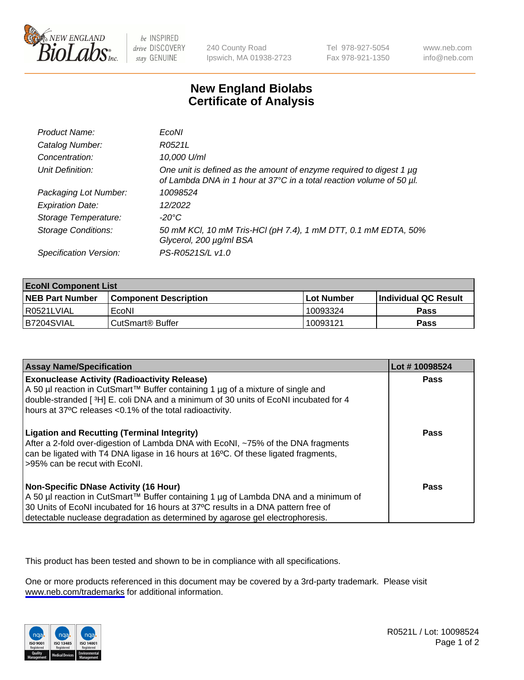

be INSPIRED drive DISCOVERY stay GENUINE

240 County Road Ipswich, MA 01938-2723 Tel 978-927-5054 Fax 978-921-1350

www.neb.com info@neb.com

## **New England Biolabs Certificate of Analysis**

| Product Name:              | EcoNI                                                                                                                                       |
|----------------------------|---------------------------------------------------------------------------------------------------------------------------------------------|
| Catalog Number:            | R0521L                                                                                                                                      |
| Concentration:             | 10,000 U/ml                                                                                                                                 |
| Unit Definition:           | One unit is defined as the amount of enzyme required to digest 1 µg<br>of Lambda DNA in 1 hour at 37°C in a total reaction volume of 50 µl. |
| Packaging Lot Number:      | 10098524                                                                                                                                    |
| <b>Expiration Date:</b>    | 12/2022                                                                                                                                     |
| Storage Temperature:       | $-20^{\circ}$ C                                                                                                                             |
| <b>Storage Conditions:</b> | 50 mM KCl, 10 mM Tris-HCl (pH 7.4), 1 mM DTT, 0.1 mM EDTA, 50%<br>Glycerol, 200 µg/ml BSA                                                   |
| Specification Version:     | PS-R0521S/L v1.0                                                                                                                            |

| <b>EcoNI Component List</b> |                         |              |                             |  |
|-----------------------------|-------------------------|--------------|-----------------------------|--|
| <b>NEB Part Number</b>      | l Component Description | l Lot Number | <b>Individual QC Result</b> |  |
| I R0521LVIAL                | EcoNI                   | 10093324     | <b>Pass</b>                 |  |
| B7204SVIAL                  | l CutSmart® Buffer      | 10093121     | Pass                        |  |

| <b>Assay Name/Specification</b>                                                                                                                                                                                                                                                                           | Lot #10098524 |
|-----------------------------------------------------------------------------------------------------------------------------------------------------------------------------------------------------------------------------------------------------------------------------------------------------------|---------------|
| <b>Exonuclease Activity (Radioactivity Release)</b><br>A 50 µl reaction in CutSmart™ Buffer containing 1 µg of a mixture of single and<br>double-stranded [3H] E. coli DNA and a minimum of 30 units of EcoNI incubated for 4<br>hours at 37°C releases <0.1% of the total radioactivity.                 | Pass          |
| <b>Ligation and Recutting (Terminal Integrity)</b><br>After a 2-fold over-digestion of Lambda DNA with EcoNI, ~75% of the DNA fragments<br>can be ligated with T4 DNA ligase in 16 hours at 16°C. Of these ligated fragments,<br>>95% can be recut with EcoNI.                                            | Pass          |
| <b>Non-Specific DNase Activity (16 Hour)</b><br>A 50 µl reaction in CutSmart™ Buffer containing 1 µg of Lambda DNA and a minimum of<br>30 Units of EcoNI incubated for 16 hours at 37°C results in a DNA pattern free of<br>detectable nuclease degradation as determined by agarose gel electrophoresis. | <b>Pass</b>   |

This product has been tested and shown to be in compliance with all specifications.

One or more products referenced in this document may be covered by a 3rd-party trademark. Please visit <www.neb.com/trademarks>for additional information.